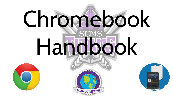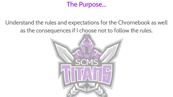# The Purpose...

Understand the rules and expectations for the Chromebook as well as the consequences if I choose not to follow the rules.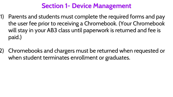# **Section 1- Device Management**

- Ǻ) Parents and students must complete the required forms and pay the user fee prior to receiving a Chromebook. (Your Chromebook will stay in your AB3 class until paperwork is returned and fee is paid.)
- ǻ) Chromebooks and chargers must be returned when requested or when student terminates enrollment or graduates.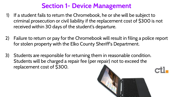# **Section 1- Device Management**

- Ǻ) If a student fails to return the Chromebook, he or she will be subject to criminal prosecution or civil liability if the replacement cost of \$300 is not received within 30 days of the student's departure.
- 2) Failure to return or pay for the Chromebook will result in filing a police report for stolen property with the Elko County Sheriff's Department.
- 3) Students are responsible for returning them in reasonable condition. Students will be charged a repair fee (per repair) not to exceed the replacement cost of \$300.

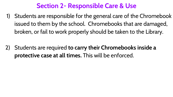## **Section ǻ- Responsible Care & Use**

- Ǻ) Students are responsible for the general care of the Chromebook issued to them by the school. Chromebooks that are damaged, broken, or fail to work properly should be taken to the Library.
- ǻ) Students are required **to carry their Chromebooks inside a protective case at all times.** This will be enforced.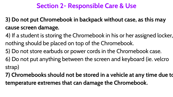### **Section ǻ- Responsible Care & Use**

- **Ǽ) Do not put Chromebook in backpack without case, as this may cause screen damage.**
- ǽ) If a student is storing the Chromebook in his or her assigned locker, nothing should be placed on top of the Chromebook.
- Ǿ) Do not store earbuds or power cords in the Chromebook case.
- ǿ) Do not put anything between the screen and keyboard (ie. velcro strap)
- **Ȁ) Chromebooks should not be stored in a vehicle at any time due to temperature extremes that can damage the Chromebook.**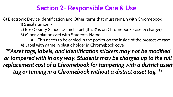## **Section ǻ- Responsible Care & Use**

ȁ) Electronic Device Identification and Other Items that must remain with Chromebook:

Ǻ) Serial number -

- 2) Elko County School District label (this # is on Chromebook, case, & charger) Ǽ) Minor violation card with Student's Name
- This needs to be carried in the pocket on the inside of the protective case ǽ) Label with name in plastic holder in Chromebook cover

*\*\*Asset tags, labels, and identification stickers may not be modified or tampered with in any way. Students may be charged up to the full replacement cost of a Chromebook for tampering with a district asset tag or turning in a Chromebook without a district asset tag. \*\**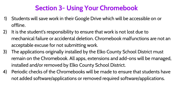# **Section 3- Using Your Chromebook**

- Ǻ) Students will save work in their Google Drive which will be accessible on or offline.
- 2) It is the student's responsibility to ensure that work is not lost due to mechanical failure or accidental deletion. Chromebook malfunctions are not an acceptable excuse for not submitting work.
- 3) The applications originally installed by the Elko County School District must remain on the Chromebook. All apps, extensions and add-ons will be managed, installed and/or removed by Elko County School District.
- ǽ) Periodic checks of the Chromebooks will be made to ensure that students have not added software/applications or removed required software/applications.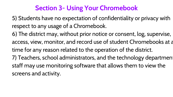# **Section 3- Using Your Chromebook**

Ǿ) Students have no expectation of confidentiality or privacy with respect to any usage of a Chromebook.

ǿ) The district may, without prior notice or consent, log, supervise, access, view, monitor, and record use of student Chromebooks at a time for any reason related to the operation of the district. 7) Teachers, school administrators, and the technology department staff may use monitoring software that allows them to view the screens and activity.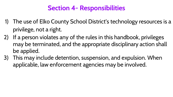# **Section ǽ- Responsibilities**

- Ǻ) The use of Elko County School District's technology resources is a privilege, not a right.
- 2) If a person violates any of the rules in this handbook, privileges may be terminated, and the appropriate disciplinary action shall be applied.
- 3) This may include detention, suspension, and expulsion. When applicable, law enforcement agencies may be involved.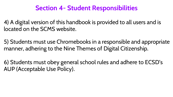ǽ) A digital version of this handbook is provided to all users and is located on the SCMS website.

Ǿ) Students must use Chromebooks in a responsible and appropriate manner, adhering to the Nine Themes of Digital Citizenship.

ǿ) Students must obey general school rules and adhere to ECSD's AUP (Acceptable Use Policy).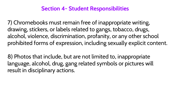Ȁ) Chromebooks must remain free of inappropriate writing, drawing, stickers, or labels related to gangs, tobacco, drugs, alcohol, violence, discrimination, profanity, or any other school prohibited forms of expression, including sexually explicit content.

ȁ) Photos that include, but are not limited to, inappropriate language, alcohol, drug, gang related symbols or pictures will result in disciplinary actions.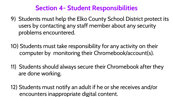- **9) Students must help the Elko County School District protect its**  users by contacting any staff member about any security problems encountered.
- Ǻǹ) Students must take responsibility for any activity on their computer by monitoring their Chromebook/account(s).
- 11) Students should always secure their Chromebook after they are done working.
- 12) Students must notify an adult if he or she receives and/or encounters inappropriate digital content.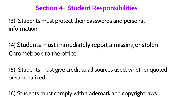13) Students must protect their passwords and personal information.

14) Students must immediately report a missing or stolen Chromebook to the office.

ǺǾ) Students must give credit to all sources used, whether quoted or summarized.

16) Students must comply with trademark and copyright laws.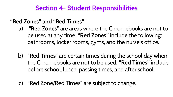#### **"Red Zones" and "Red Times"**

- a) "**Red Zones**" are areas where the Chromebooks are not to be used at any time. **"Red Zones"** include the following: bathrooms, locker rooms, gyms, and the nurse's office.
- b) "**Red Times**" are certain times during the school day when the Chromebooks are not to be used. **"Red Times"** include before school, lunch, passing times, and after school.
- c) "Red Zone/Red Times" are subject to change.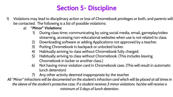# **Section 5- Discipline**

- Ǻ) Violations may lead to disciplinary action or loss of Chromebook privileges or both, and parents will be contacted. The following is a list of possible violations:
	- a) **"Minor" Violations:**
		- Ǻ) During class time; communicating by using social media, email, gameplay/video streaming, accessing non-educational websites when use is not related to class.
		- 2) Downloading software or adding Applications not approved by a teacher.
		- 3) Putting Chromebook in backpack or unlocked locker.
		- 4) Habitually arriving to class without Chromebook fully charged.
		- 5) Habitually arriving to class without Chromebook. (This includes leaving Chromebook in locker or another class.)
		- ǿ) Not having minor violation card in Chromebook case. (This will result in automatic lunch detention)
		- Ȁ) Any other activity deemed inappropriate by the teacher

*All "Minor" Infractions will be documented on the student's infraction card which will be placed at all times in the sleeve of the student's protective case. If a student receives 3 minor violations he/she will receive a minimum of 3 days of lunch detention.*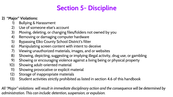# **Section 5- Discipline**

#### **ǻ) "Major" Violations:**

- Ǻ) Bullying & Harassment
- 2) Use of someone else's account
- 3) Moving, deleting, or changing files/folders not owned by you
- ǽ) Removing or damaging computer hardware
- 5) Bypassing Elko County School District's filter
- ǿ) Manipulating screen content with intent to deceive
- Ȁ) Viewing unauthorized materials, images, and or websites
- ȁ) Showing, depicting, suggesting or implying illegal activity, drug use, or gambling
- Ȃ) Showing or encouraging violence against a living being or physical property
- 10) Showing adult-oriented material
- ǺǺ) Showing provocative or explicit material
- 12) Storage of inappropriate materials
- 13) Student activities strictly prohibited as listed in section 4.6 of this handbook

*All "Major" violations will result in immediate disciplinary action and the consequence will be determined by administration. This can include: detention, suspension, or expulsion.*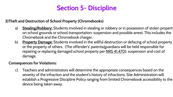# **Section 5- Discipline**

#### **Ǽ)Theft and Destruction of School Property (Chromebooks)**

- a) **Stealing/Robbery:** Students involved in stealing or robbery or in possession of stolen property on school grounds or school transportation: suspension and possible arrest. This includes the Chromebook and the Chromebook charger.
- b) **Property Damage:** Students involved in the willful destruction or defacing of school property or the property of others. (The offender's' parents/guardians will be held responsible for repairing or replacing damaged school property per NRS 41.470): suspension and cost of damage.

#### **Consequences for Violations:**

c) Teachers and administrators will determine the appropriate consequences based on the severity of the infraction and the student's history of infractions. Site Administration will establish a Progressive Discipline Policy ranging from limited Chromebook accessibility to the device being taken away.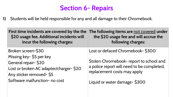### **Section 6- Repairs**

**Ǻ)** Students will be held responsible for any and all damage to their Chromebook.

| First time incidents are covered by the the   | The following items are not covered under  |
|-----------------------------------------------|--------------------------------------------|
| \$20 usage fee. Additional incidents will     | the \$20 usage fee and will accrue the     |
| incur the following charges:                  | following charges:                         |
| Broken screen-\$30<br>Missing key-\$5 per key | Lost or defaced Chromebook- \$300          |
| General repair-\$20                           | Stolen Chromebook- report to school and    |
| Lost or broken AC adapter/charger-\$20        | a police report will need to be completed, |
| Any sticker removed-\$5                       | replacement costs may apply                |
| Software malfunction- no cost                 | Liquid or water damage-\$300               |